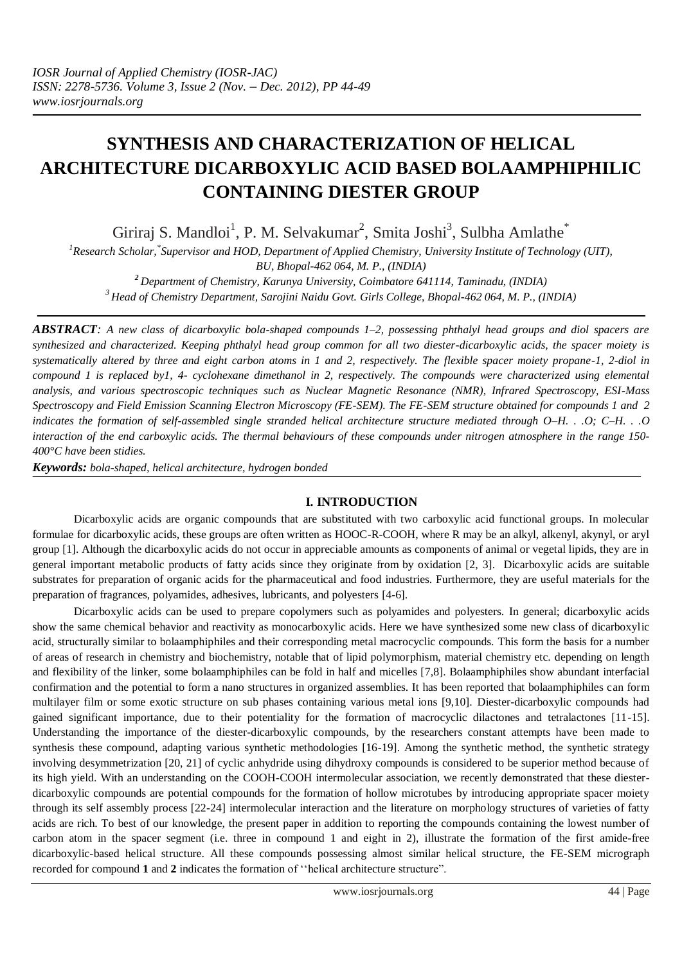# **SYNTHESIS AND CHARACTERIZATION OF HELICAL ARCHITECTURE DICARBOXYLIC ACID BASED BOLAAMPHIPHILIC CONTAINING DIESTER GROUP**

Giriraj S. Mandloi<sup>1</sup>, P. M. Selvakumar<sup>2</sup>, Smita Joshi<sup>3</sup>, Sulbha Amlathe<sup>\*</sup>

*1 Research Scholar,\* Supervisor and HOD, Department of Applied Chemistry[, University Institute of Technology](http://www.buit.ac.in/) (UIT), BU, Bhopal-462 064, M. P., (INDIA)*

*<sup>2</sup>Department of Chemistry, Karunya University, Coimbatore 641114, Taminadu, (INDIA) <sup>3</sup>Head of Chemistry Department, Sarojini Naidu Govt. Girls College, Bhopal-462 064, M. P., (INDIA)*

*ABSTRACT: A new class of dicarboxylic bola-shaped compounds 1–2, possessing phthalyl head groups and diol spacers are synthesized and characterized. Keeping phthalyl head group common for all two diester-dicarboxylic acids, the spacer moiety is systematically altered by three and eight carbon atoms in 1 and 2, respectively. The flexible spacer moiety propane-1, 2-diol in compound 1 is replaced by1, 4- cyclohexane dimethanol in 2, respectively. The compounds were characterized using elemental analysis, and various spectroscopic techniques such as Nuclear Magnetic Resonance (NMR), Infrared Spectroscopy, ESI-Mass Spectroscopy and Field Emission Scanning Electron Microscopy (FE-SEM). The FE-SEM structure obtained for compounds 1 and 2 indicates the formation of self-assembled single stranded helical architecture structure mediated through O–H. . .O; C–H. . .O interaction of the end carboxylic acids. The thermal behaviours of these compounds under nitrogen atmosphere in the range 150- 400°C have been stidies.*

*Keywords: bola-shaped, helical architecture, hydrogen bonded*

# **I. INTRODUCTION**

Dicarboxylic acids are organic compounds that are substituted with two carboxylic acid functional groups. In molecular formulae for dicarboxylic acids, these groups are often written as HOOC-R-COOH, where R may be an alkyl, alkenyl, akynyl, or aryl group [1]. Although the dicarboxylic acids do not occur in appreciable amounts as components of animal or vegetal lipids, they are in general important metabolic products of fatty acids since they originate from [by oxidation](http://en.wikipedia.org/w/index.php?title=Byoxidation&action=edit&redlink=1) [2, 3]. Dicarboxylic acids are suitable substrates for preparation of organic acids for the pharmaceutical and food industries. Furthermore, they are useful materials for the preparation of fragrances, polyamides, adhesives, lubricants, and polyesters [4-6].

Dicarboxylic acids can be used to prepare copolymers such as polyamides and polyesters. In general; dicarboxylic acids show the same chemical behavior and reactivity as monocarboxylic acids. Here we have synthesized some new class of dicarboxylic acid, structurally similar to bolaamphiphiles and their corresponding metal macrocyclic compounds. This form the basis for a number of areas of research in chemistry and biochemistry, notable that of lipid polymorphism, material chemistry etc. depending on length and flexibility of the linker, some bolaamphiphiles can be fold in half and micelles [7,8]. Bolaamphiphiles show abundant interfacial confirmation and the potential to form a nano structures in organized assemblies. It has been reported that bolaamphiphiles can form multilayer film or some exotic structure on sub phases containing various metal ions [9,10]. Diester-dicarboxylic compounds had gained significant importance, due to their potentiality for the formation of macrocyclic dilactones and tetralactones [11-15]. Understanding the importance of the diester-dicarboxylic compounds, by the researchers constant attempts have been made to synthesis these compound, adapting various synthetic methodologies [16-19]. Among the synthetic method, the synthetic strategy involving desymmetrization [20, 21] of cyclic anhydride using dihydroxy compounds is considered to be superior method because of its high yield. With an understanding on the COOH-COOH intermolecular association, we recently demonstrated that these diesterdicarboxylic compounds are potential compounds for the formation of hollow microtubes by introducing appropriate spacer moiety through its self assembly process [22-24] intermolecular interaction and the literature on morphology structures of varieties of fatty acids are rich. To best of our knowledge, the present paper in addition to reporting the compounds containing the lowest number of carbon atom in the spacer segment (i.e. three in compound 1 and eight in 2), illustrate the formation of the first amide-free dicarboxylic-based helical structure. All these compounds possessing almost similar helical structure, the FE-SEM micrograph recorded for compound **1** and **2** indicates the formation of ''helical architecture structure".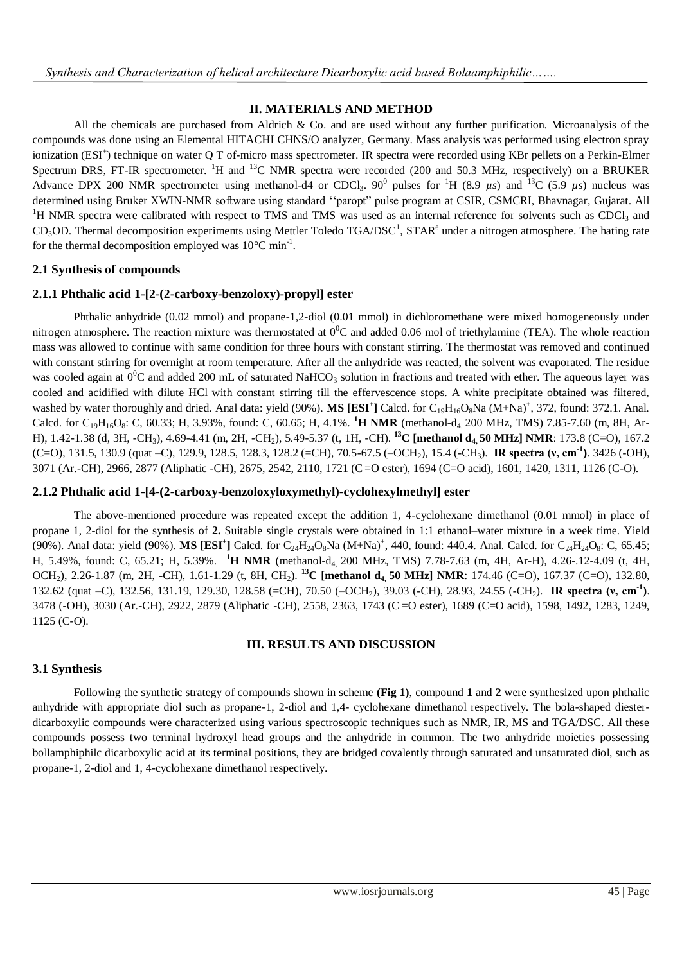# **II. MATERIALS AND METHOD**

All the chemicals are purchased from Aldrich & Co. and are used without any further purification. Microanalysis of the compounds was done using an Elemental HITACHI CHNS/O analyzer, Germany. Mass analysis was performed using electron spray ionization (ESI<sup>+</sup>) technique on water Q T of-micro mass spectrometer. IR spectra were recorded using KBr pellets on a Perkin-Elmer Spectrum DRS, FT-IR spectrometer. <sup>1</sup>H and <sup>13</sup>C NMR spectra were recorded (200 and 50.3 MHz, respectively) on a BRUKER Advance DPX 200 NMR spectrometer using methanol-d4 or CDCl<sub>3</sub>. 90<sup>0</sup> pulses for <sup>1</sup>H (8.9  $\mu$ s) and <sup>13</sup>C (5.9  $\mu$ s) nucleus was determined using Bruker XWIN-NMR software using standard ''paropt" pulse program at CSIR, CSMCRI, Bhavnagar, Gujarat. All <sup>1</sup>H NMR spectra were calibrated with respect to TMS and TMS was used as an internal reference for solvents such as CDCl<sub>3</sub> and  $CD_3OD$ . Thermal decomposition experiments using Mettler Toledo TGA/DSC<sup>1</sup>, STAR<sup>e</sup> under a nitrogen atmosphere. The hating rate for the thermal decomposition employed was  $10^{\circ}$ C min<sup>-1</sup>.

### **2.1 Synthesis of compounds**

#### **2.1.1 Phthalic acid 1-[2-(2-carboxy-benzoloxy)-propyl] ester**

Phthalic anhydride (0.02 mmol) and propane-1,2-diol (0.01 mmol) in dichloromethane were mixed homogeneously under nitrogen atmosphere. The reaction mixture was thermostated at  $0^0C$  and added 0.06 mol of triethylamine (TEA). The whole reaction mass was allowed to continue with same condition for three hours with constant stirring. The thermostat was removed and continued with constant stirring for overnight at room temperature. After all the anhydride was reacted, the solvent was evaporated. The residue was cooled again at  $0^{\circ}$ C and added 200 mL of saturated NaHCO<sub>3</sub> solution in fractions and treated with ether. The aqueous layer was cooled and acidified with dilute HCl with constant stirring till the effervescence stops. A white precipitate obtained was filtered, washed by water thoroughly and dried. Anal data: yield (90%). MS [ESI<sup>+</sup>] Calcd. for C<sub>19</sub>H<sub>16</sub>O<sub>8</sub>Na (M+Na)<sup>+</sup>, 372, found: 372.1. Anal. Calcd. for  $C_{19}H_{16}O_8$ : C, 60.33; H, 3.93%, found: C, 60.65; H, 4.1%. <sup>1</sup>H NMR (methanol-d<sub>4</sub> 200 MHz, TMS) 7.85-7.60 (m, 8H, Ar-H), 1.42-1.38 (d, 3H, -CH3), 4.69-4.41 (m, 2H, -CH2), 5.49-5.37 (t, 1H, -CH). **<sup>13</sup>C [methanol d4, 50 MHz] NMR**: 173.8 (C=O), 167.2 (C=O), 131.5, 130.9 (quat –C), 129.9, 128.5, 128.3, 128.2 (=CH), 70.5-67.5 (–OCH2), 15.4 (-CH3). **IR spectra (ν, cm-1 )**. 3426 (-OH), 3071 (Ar.-CH), 2966, 2877 (Aliphatic -CH), 2675, 2542, 2110, 1721 (C=O ester), 1694 (C=O acid), 1601, 1420, 1311, 1126 (C-O).

#### **2.1.2 Phthalic acid 1-[4-(2-carboxy-benzoloxyloxymethyl)-cyclohexylmethyl] ester**

The above-mentioned procedure was repeated except the addition 1, 4-cyclohexane dimethanol (0.01 mmol) in place of propane 1, 2-diol for the synthesis of **2.** Suitable single crystals were obtained in 1:1 ethanol–water mixture in a week time. Yield (90%). Anal data: yield (90%). **MS [ESI<sup>+</sup>**] Calcd. for C<sub>24</sub>H<sub>24</sub>O<sub>8</sub>Na (M+Na)<sup>+</sup>, 440, found: 440.4. Anal. Calcd. for C<sub>24</sub>H<sub>24</sub>O<sub>8</sub>: C, 65.45; H, 5.49%, found: C, 65.21; H, 5.39%. **<sup>1</sup>H NMR** (methanol-d4, 200 MHz, TMS) 7.78-7.63 (m, 4H, Ar-H), 4.26-.12-4.09 (t, 4H, OCH2), 2.26-1.87 (m, 2H, -CH), 1.61-1.29 (t, 8H, CH2). **<sup>13</sup>C [methanol d4, 50 MHz] NMR**: 174.46 (C=O), 167.37 (C=O), 132.80, 132.62 (quat –C), 132.56, 131.19, 129.30, 128.58 (=CH), 70.50 (–ОСН<sub>2</sub>), 39.03 (-CH), 28.93, 24.55 (-CH<sub>2</sub>). **IR spectra (v, cm<sup>-1</sup>)**. 3478 (-OH), 3030 (Ar.-CH), 2922, 2879 (Aliphatic -CH), 2558, 2363, 1743 (C =O ester), 1689 (C=O acid), 1598, 1492, 1283, 1249, 1125 (C-O).

#### **III. RESULTS AND DISCUSSION**

# **3.1 Synthesis**

Following the synthetic strategy of compounds shown in scheme **(Fig 1)**, compound **1** and **2** were synthesized upon phthalic anhydride with appropriate diol such as propane-1, 2-diol and 1,4- cyclohexane dimethanol respectively. The bola-shaped diesterdicarboxylic compounds were characterized using various spectroscopic techniques such as NMR, IR, MS and TGA/DSC. All these compounds possess two terminal hydroxyl head groups and the anhydride in common. The two anhydride moieties possessing bollamphiphilc dicarboxylic acid at its terminal positions, they are bridged covalently through saturated and unsaturated diol, such as propane-1, 2-diol and 1, 4-cyclohexane dimethanol respectively.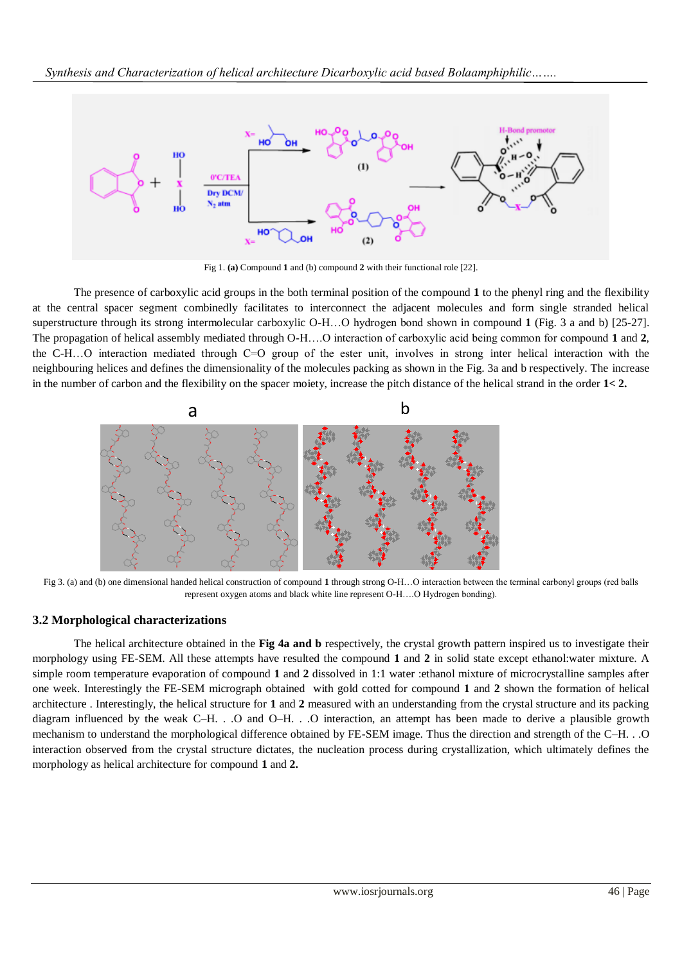

Fig 1. **(a)** Compound **1** and (b) compound **2** with their functional role [22].

The presence of carboxylic acid groups in the both terminal position of the compound **1** to the phenyl ring and the flexibility at the central spacer segment combinedly facilitates to interconnect the adjacent molecules and form single stranded helical superstructure through its strong intermolecular carboxylic O-H…O hydrogen bond shown in compound **1** (Fig. 3 a and b) [25-27]. The propagation of helical assembly mediated through O-H….O interaction of carboxylic acid being common for compound **1** and **2**, the C-H…O interaction mediated through C=O group of the ester unit, involves in strong inter helical interaction with the neighbouring helices and defines the dimensionality of the molecules packing as shown in the Fig. 3a and b respectively. The increase in the number of carbon and the flexibility on the spacer moiety, increase the pitch distance of the helical strand in the order **1< 2.**



Fig 3. (a) and (b) one dimensional handed helical construction of compound **1** through strong O-H…O interaction between the terminal carbonyl groups (red balls represent oxygen atoms and black white line represent O-H….O Hydrogen bonding).

# **3.2 Morphological characterizations**

The helical architecture obtained in the **Fig 4a and b** respectively, the crystal growth pattern inspired us to investigate their morphology using FE-SEM. All these attempts have resulted the compound **1** and **2** in solid state except ethanol:water mixture. A simple room temperature evaporation of compound **1** and **2** dissolved in 1:1 water :ethanol mixture of microcrystalline samples after one week. Interestingly the FE-SEM micrograph obtained with gold cotted for compound **1** and **2** shown the formation of helical architecture . Interestingly, the helical structure for **1** and **2** measured with an understanding from the crystal structure and its packing diagram influenced by the weak C–H. . .O and O–H. . .O interaction, an attempt has been made to derive a plausible growth mechanism to understand the morphological difference obtained by FE-SEM image. Thus the direction and strength of the C–H. . .O interaction observed from the crystal structure dictates, the nucleation process during crystallization, which ultimately defines the morphology as helical architecture for compound **1** and **2.**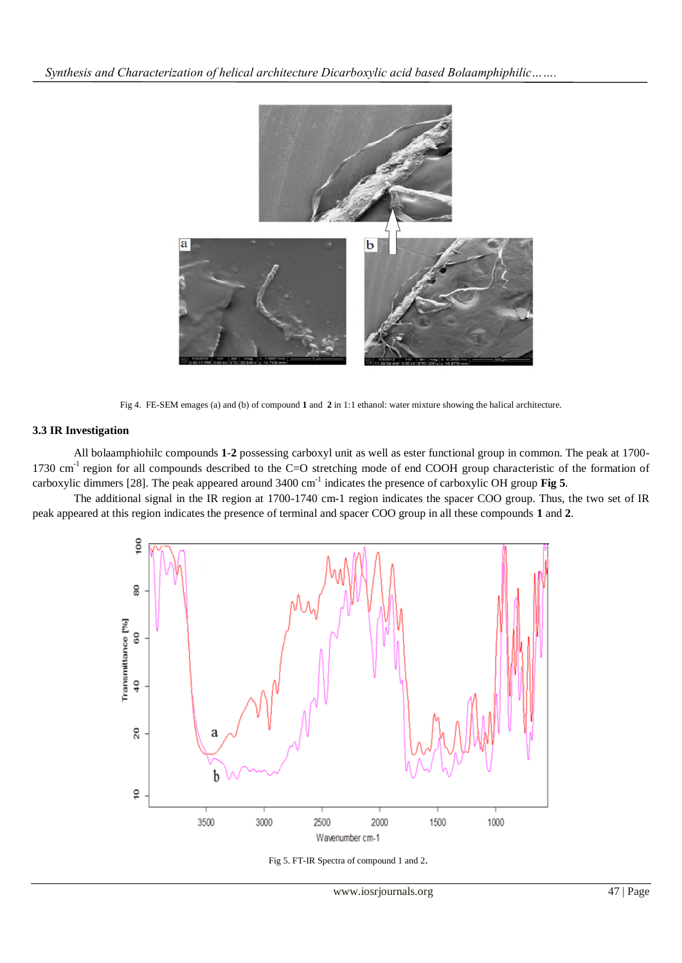

Fig 4. FE-SEM emages (a) and (b) of compound **1** and **2** in 1:1 ethanol: water mixture showing the halical architecture.

### **3.3 IR Investigation**

All bolaamphiohilc compounds **1**-**2** possessing carboxyl unit as well as ester functional group in common. The peak at 1700- 1730 cm<sup>-1</sup> region for all compounds described to the C=O stretching mode of end COOH group characteristic of the formation of carboxylic dimmers [28]. The peak appeared around 3400 cm<sup>-1</sup> indicates the presence of carboxylic OH group **Fig 5**.

The additional signal in the IR region at 1700-1740 cm-1 region indicates the spacer COO group. Thus, the two set of IR peak appeared at this region indicates the presence of terminal and spacer COO group in all these compounds **1** and **2**.



Fig 5. FT-IR Spectra of compound 1 and 2.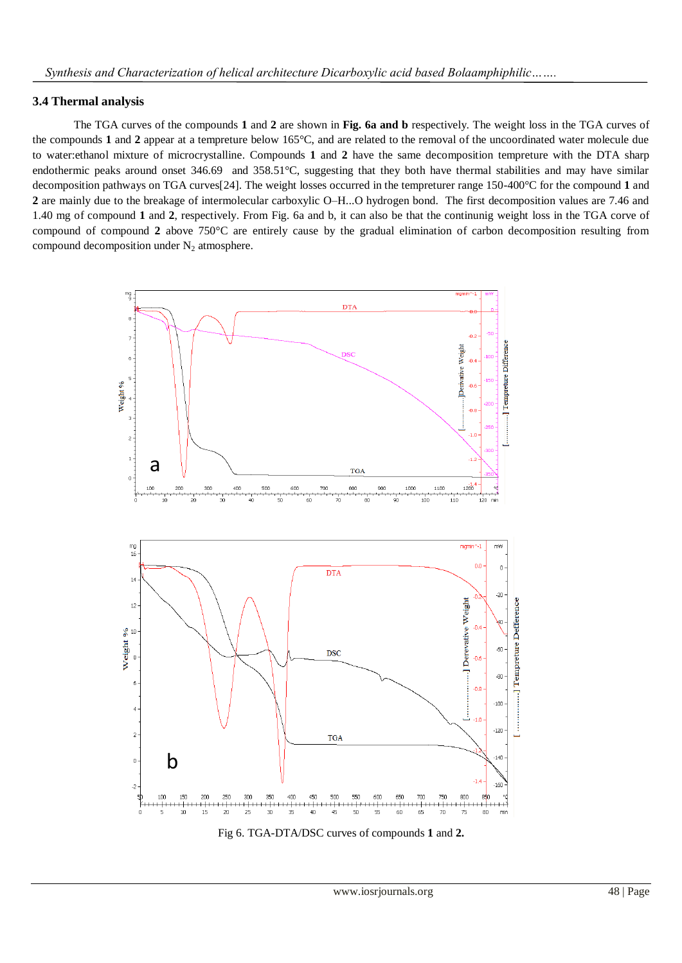# **3.4 Thermal analysis**

The TGA curves of the compounds **1** and **2** are shown in **Fig. 6a and b** respectively. The weight loss in the TGA curves of the compounds **1** and **2** appear at a tempreture below 165°C, and are related to the removal of the uncoordinated water molecule due to water:ethanol mixture of microcrystalline. Compounds **1** and **2** have the same decomposition tempreture with the DTA sharp endothermic peaks around onset 346.69 and 358.51°C, suggesting that they both have thermal stabilities and may have similar decomposition pathways on TGA curves[24]. The weight losses occurred in the tempreturer range 150-400°C for the compound **1** and **2** are mainly due to the breakage of intermolecular carboxylic O–H...O hydrogen bond. The first decomposition values are 7.46 and 1.40 mg of compound **1** and **2**, respectively. From Fig. 6a and b, it can also be that the continunig weight loss in the TGA corve of compound of compound **2** above 750°C are entirely cause by the gradual elimination of carbon decomposition resulting from compound decomposition under  $N_2$  atmosphere.